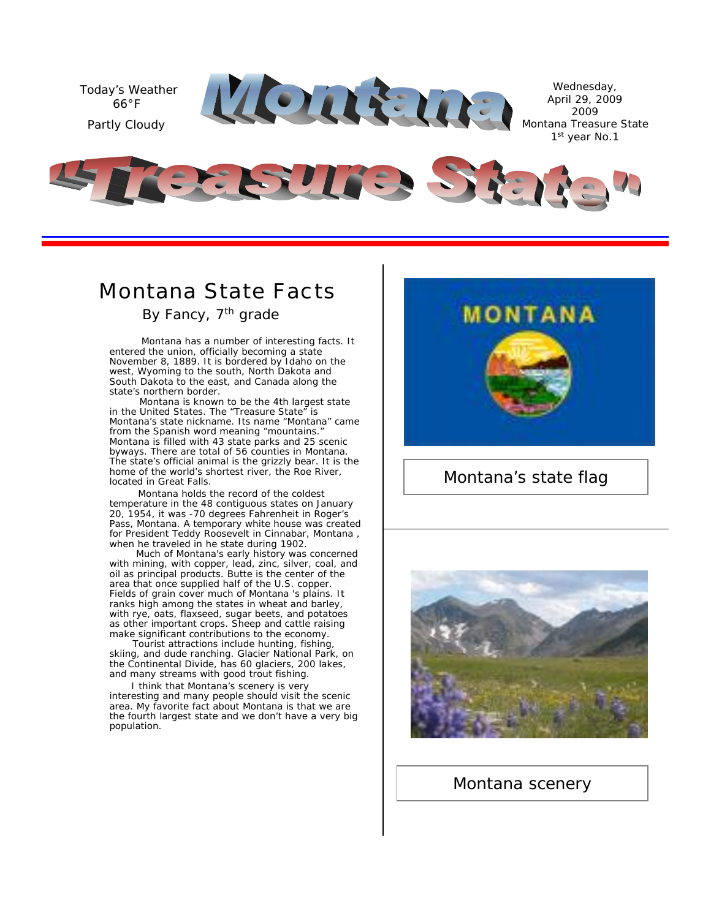

### *Montana State Facts*

By Fancy, 7<sup>th</sup> grade

Montana has a number of interesting facts. It entered the union, officially becoming a state November 8, 1889. It is bordered by Idaho on the west, Wyoming to the south, North Dakota and South Dakota to the east, and Canada along the state's northern border.

Montana is known to be the 4th largest state in the United States. The "Treasure State" is Montana's state nickname. Its name "Montana" came from the Spanish word meaning "mountains." Montana is filled with 43 state parks and 25 scenic byways. There are total of 56 counties in Montana. The state's official animal is the grizzly bear. It is the home of the world's shortest river, the Roe River, located in Great Falls.

Montana holds the record of the coldest temperature in the 48 contiguous states on January 20, 1954, it was -70 degrees Fahrenheit in Roger's Pass, Montana. A temporary white house was created for President Teddy Roosevelt in Cinnabar, Montana , when he traveled in he state during 1902.

Much of Montana's early history was concerned with mining, with copper, lead, zinc, silver, coal, and oil as principal products. Butte is the center of the area that once supplied half of the U.S. copper. Fields of grain cover much of Montana 's plains. It ranks high among the states in wheat and barley, with rye, oats, flaxseed, sugar beets, and potatoes as other important crops. Sheep and cattle raising make significant contributions to the economy.

Tourist attractions include hunting, fishing, skiing, and dude ranching. Glacier National Park, on the Continental Divide, has 60 glaciers, 200 lakes, and many streams with good trout fishing.

I think that Montana's scenery is very interesting and many people should visit the scenic area. My favorite fact about Montana is that we are the fourth largest state and we don't have a very big population.



### Montana's state flag



### Montana scenery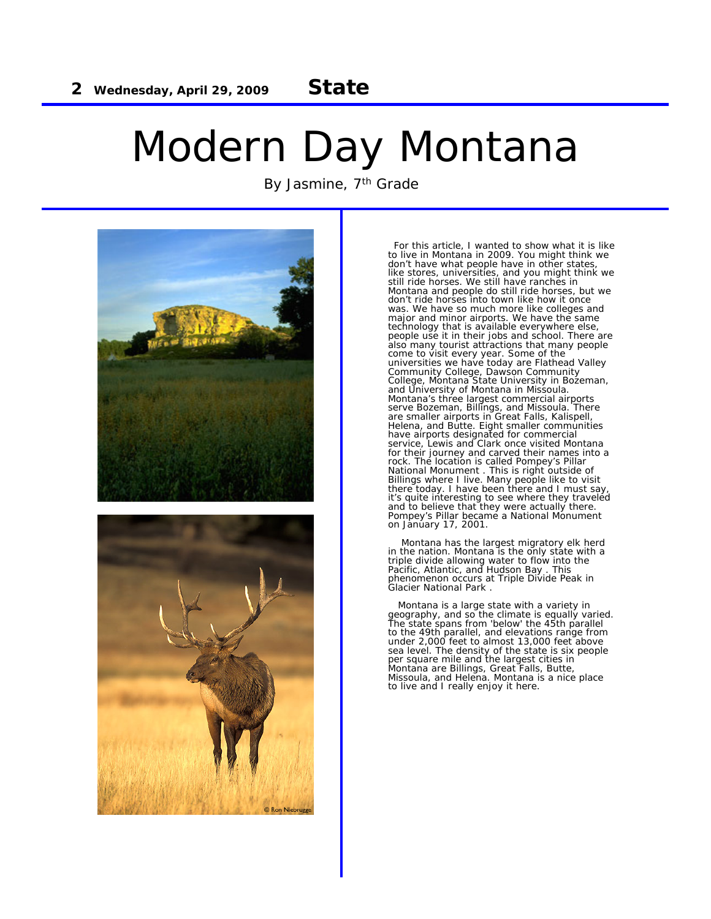## Modern Day Montana

By Jasmine, 7<sup>th</sup> Grade



For this article, I wanted to show what it is like to live in Montana in 2009. You might think we don't have what people have in other states, like stores, universities, and you might think we still ride horses. We still have ranches in Montana and people do still ride horses, but we don't ride horses into town like how it once was. We have so much more like colleges and major and minor airports. We have the same technology that is available everywhere else, people use it in their jobs and school. There are also many tourist attractions that many people<br>come to visit every year. Some of the<br>universities we have today are Flathead Valley<br>Community College, Dawson Community<br>College, Montana State University in Bozeman,<br>and Univ have airports designated for commercial service, Lewis and Clark once visited Montana for their journey and carved their names into a<br>rock. The location is called Pompey's Pillar<br>National Monument . This is right outside of<br>Billings where I live. Many people like to visit<br>there today. I have been there and it's quite interesting to see where they traveled and to believe that they were actually there. Pompey's Pillar became a National Monument on January 17, 2001.

Montana has the largest migratory elk herd in the nation. Montana is the only state with a triple divide allowing water to flow into the Pacific, Atlantic, and Hudson Bay . This phenomenon occurs at Triple Divide Peak in Glacier National Park .

Montana is a large state with a variety in geography, and so the climate is equally varied. The state spans from 'below' the 45th parallel to the 49th parallel, and elevations range from<br>under 2,000 feet to almost 13,000 feet above<br>sea level. The density of the state is six people<br>per square mile and the largest cities in<br>Montana are Billings, Great Falls, Bu to live and I really enjoy it here.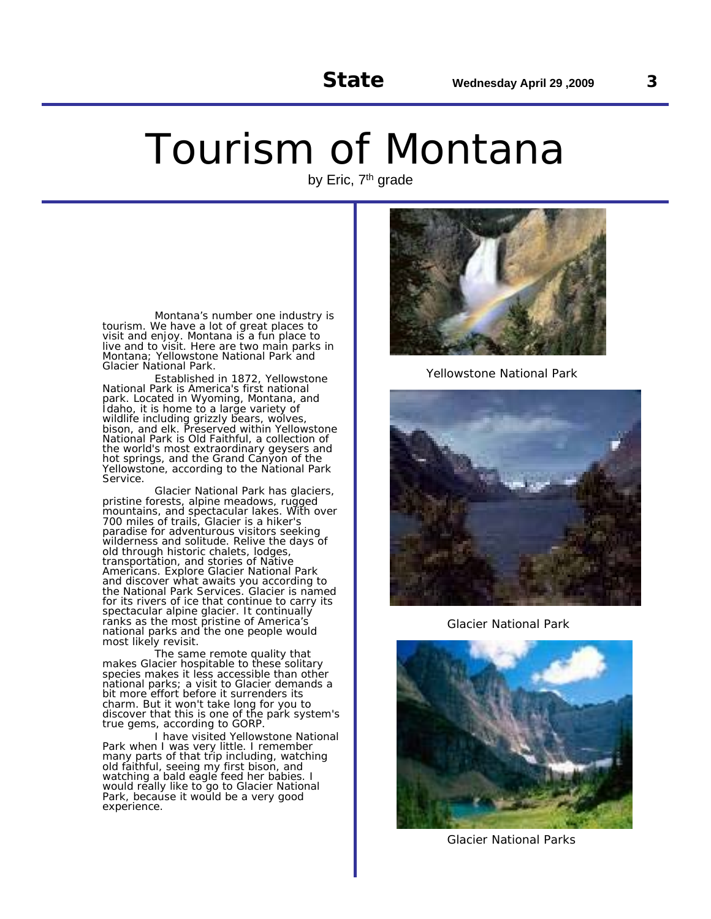## Tourism of Montana

by Eric, 7<sup>th</sup> grade

Montana's number one industry is tourism. We have a lot of great places to visit and enjoy. Montana is a fun place to live and to visit. Here are two main parks in Montana; Yellowstone National Park and Glacier National Park.

Established in 1872, Yellowstone National Park is America's first national park. Located in Wyoming, Montana, and Idaho, it is home to a large variety of wildlife including grizzly bears, wolves, bison, and elk. Preserved within Yellowstone National Park is Old Faithful, a collection of the world's most extraordinary geysers and hot springs, and the Grand Canyon of the Yellowstone, according to the National Park Service.

Glacier National Park has glaciers, pristine forests, alpine meadows, rugged mountains, and spectacular lakes. With over 700 miles of trails, Glacier is a hiker's paradise for adventurous visitors seeking wilderness and solitude. Relive the days of old through historic chalets, lodges, transportation, and stories of Native Americans. Explore Glacier National Park and discover what awaits you according to the National Park Services. Glacier is named for its rivers of ice that continue to carry its spectacular alpine glacier. It continually ranks as the most pristine of America's national parks and the one people would most likely revisit.

The same remote quality that makes Glacier hospitable to these solitary species makes it less accessible than other national parks; a visit to Glacier demands a bit more effort before it surrenders its charm. But it won't take long for you to discover that this is one of the park system's true gems, according to GORP.

I have visited Yellowstone National Park when I was very little. I remember many parts of that trip including, watching old faithful, seeing my first bison, and watching a bald eagle feed her babies. I would really like to go to Glacier National Park, because it would be a very good experience.



Yellowstone National Park



Glacier National Park



Glacier National Parks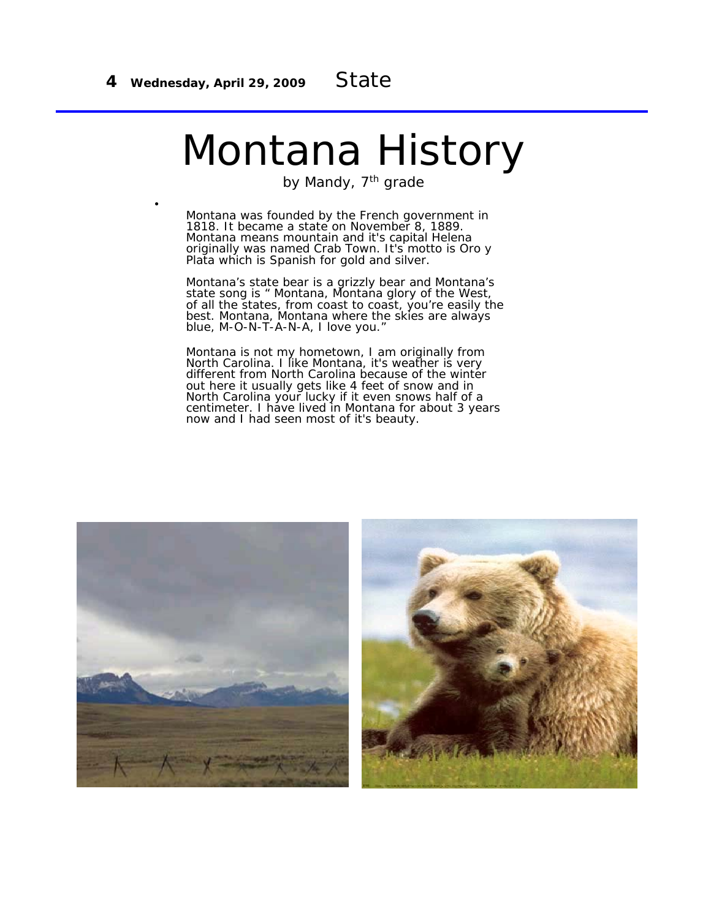# Montana History

by Mandy, 7<sup>th</sup> grade

• Montana was founded by the French government in 1818. It became a state on November 8, 1889. Montana means mountain and it's capital Helena originally was named Crab Town. It's motto is Oro y Plata which is Spanish for gold and silver.

Montana's state bear is a grizzly bear and Montana's state song is " Montana, Montana glory of the West, of all the states, from coast to coast, you're easily the best. Montana, Montana where the skies are always blue, M-O-N-T-A-N-A, I love you."

Montana is not my hometown, I am originally from North Carolina. I like Montana, it's weather is very different from North Carolina because of the winter out here it usually gets like 4 feet of snow and in North Carolina your lucky if it even snows half of a centimeter. I have lived in Montana for about 3 years now and I had seen most of it's beauty.

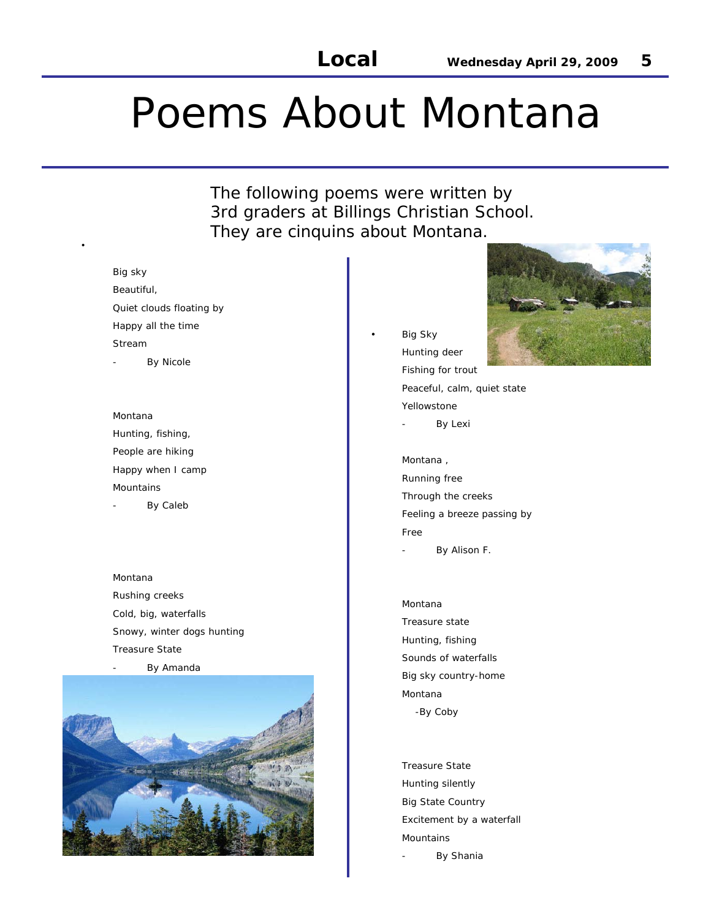## Poems About Montana

The following poems were written by 3rd graders at Billings Christian School. They are cinquins about Montana.

#### Big sky

•

Beautiful, Quiet clouds floating by Happy all the time Stream By Nicole

Montana Hunting, fishing, People are hiking Happy when I camp Mountains By Caleb

Montana Rushing creeks Cold, big, waterfalls Snowy, winter dogs hunting Treasure State By Amanda



**Big Sky** Hunting deer Fishing for trout Peaceful, calm, quiet state Yellowstone

By Lexi

Montana , Running free Through the creeks Feeling a breeze passing by Free

- By Alison F.

Montana Treasure state Hunting, fishing Sounds of waterfalls Big sky country-home Montana -By Coby

Treasure State Hunting silently Big State Country Excitement by a waterfall Mountains By Shania

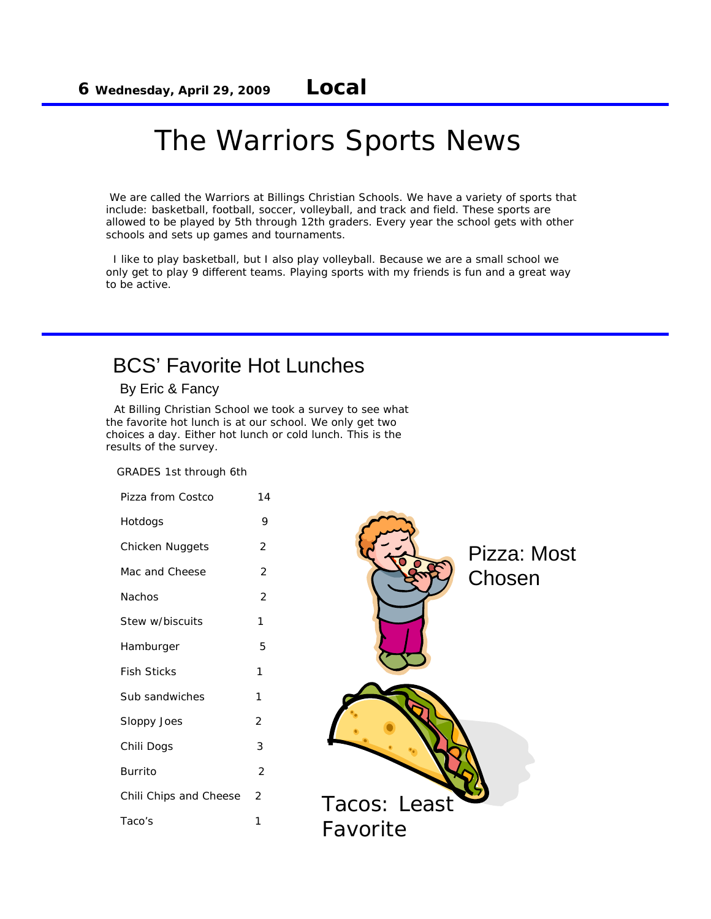### The Warriors Sports News

We are called the Warriors at Billings Christian Schools. We have a variety of sports that include: basketball, football, soccer, volleyball, and track and field. These sports are allowed to be played by 5th through 12th graders. Every year the school gets with other schools and sets up games and tournaments.

I like to play basketball, but I also play volleyball. Because we are a small school we only get to play 9 different teams. Playing sports with my friends is fun and a great way to be active.

### BCS' Favorite Hot Lunches

By Eric & Fancy

At Billing Christian School we took a survey to see what the favorite hot lunch is at our school. We only get two choices a day. Either hot lunch or cold lunch. This is the results of the survey.

GRADES 1st through 6th

Pizza from Costco 14 Hotdogs 9 Chicken Nuggets 2 Mac and Cheese 2 Nachos 2 Stew w/biscuits 1 Hamburger 5 Fish Sticks 1 Sub sandwiches 1 Sloppy Joes 2 Chili Dogs 3 Burrito 2 Chili Chips and Cheese 2 Taco's 1

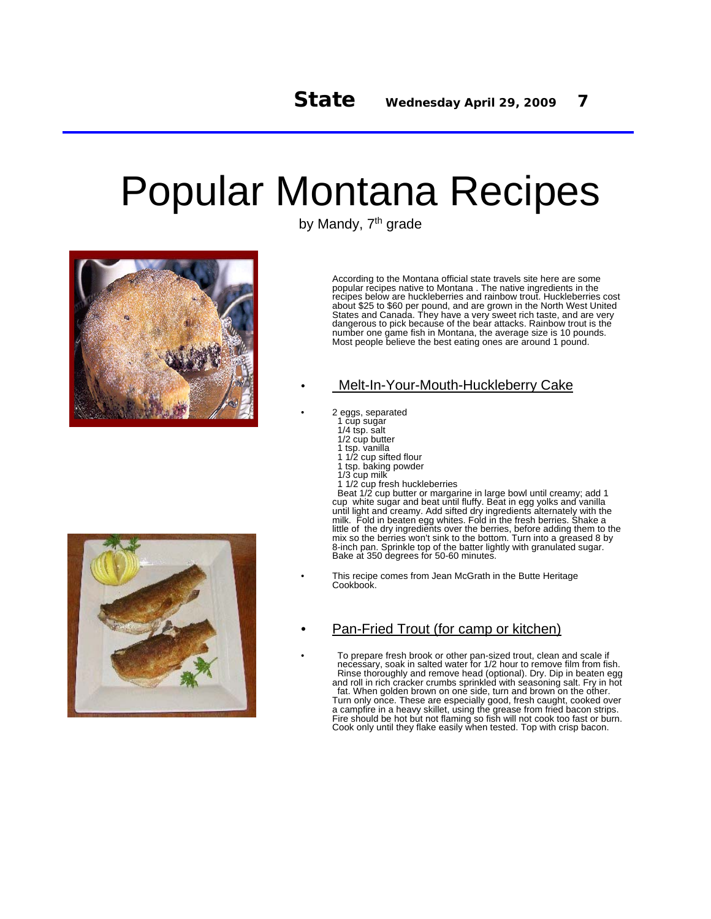## Popular Montana Recipes

by Mandy, 7<sup>th</sup> grade



According to the Montana official state travels site here are some popular recipes native to Montana . The native ingredients in the recipes below are huckleberries and rainbow trout. Huckleberries cost about \$25 to \$60 per pound, and are grown in the North West United States and Canada. They have a very sweet rich taste, and are very dangerous to pick because of the bear attacks. Rainbow trout is the number one game fish in Montana, the average size is 10 pounds. Most people believe the best eating ones are around 1 pound.

### • Melt-In-Your-Mouth-Huckleberry Cake

• 2 eggs, separated

- 1 cup sugar
- 1/4 tsp. salt 1/2 cup butter
- 
- 1 tsp. vanilla 1 1/2 cup sifted flour
- 1 tsp. baking powder
- 1/3 cup milk
- 1/2 cup fresh huckleberries

Beat 1/2 cup butter or margarine in large bowl until creamy; add 1 cup white sugar and beat until fluffy. Beat in egg yolks and vanilla until light and creamy. Add sifted dry ingredients alternately with the milk. Fold in beaten egg whites. Fold in the fresh berries. Shake a little of the dry ingredients over the berries, before adding them to the mix so the berries won't sink to the bottom. Turn into a greased 8 by 8-inch pan. Sprinkle top of the batter lightly with granulated sugar. Bake at 350 degrees for 50-60 minutes.

This recipe comes from Jean McGrath in the Butte Heritage Cookbook.

### • Pan-Fried Trout (for camp or kitchen)

• To prepare fresh brook or other pan-sized trout, clean and scale if necessary, soak in salted water for 1/2 hour to remove film from fish. Rinse thoroughly and remove head (optional). Dry. Dip in beaten egg and roll in rich cracker crumbs sprinkled with seasoning salt. Fry in hot fat. When golden brown on one side, turn and brown on the other. Turn only once. These are especially good, fresh caught, cooked over a campfire in a heavy skillet, using the grease from fried bacon strips. Fire should be hot but not flaming so fish will not cook too fast or burn. Cook only until they flake easily when tested. Top with crisp bacon.

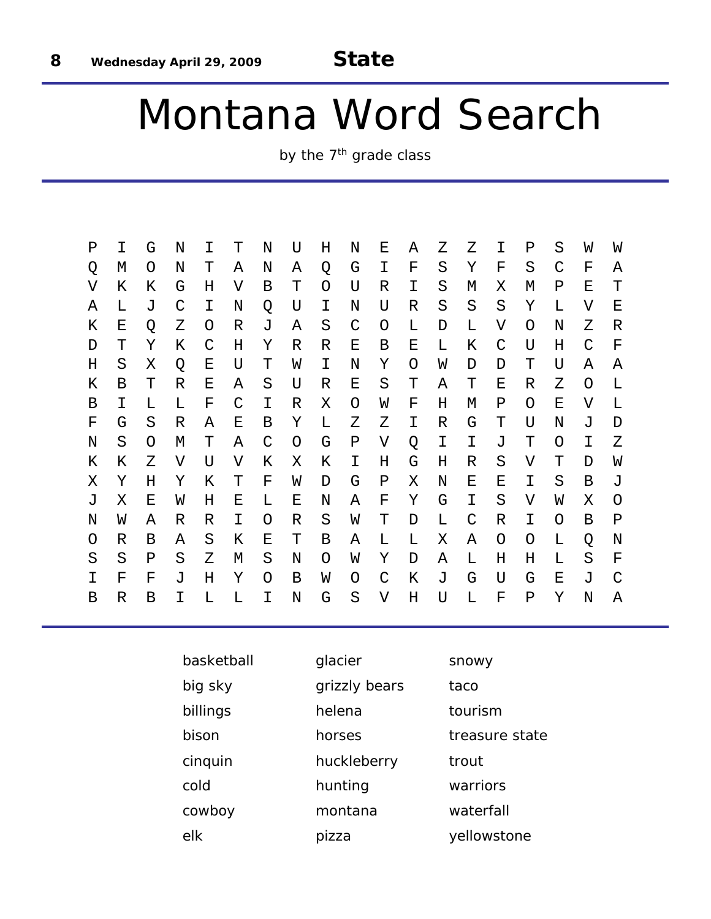# Montana Word Search

by the 7<sup>th</sup> grade class

| Ρ | Τ | G | N            | I | Т            | N            | U | Η | N       | Ε            | Α | Ζ | Ζ             | Τ            | Ρ        | S            | W | W |
|---|---|---|--------------|---|--------------|--------------|---|---|---------|--------------|---|---|---------------|--------------|----------|--------------|---|---|
| Q | М | O | Ν            | т | Α            | Ν            | Α | Q | G       | Ι            | F | S | Υ             | F            | S        | $\mathsf{C}$ | F | Α |
| V | Κ | Κ | G            | Η | V            | В            | т | O | U       | R            | I | S | M             | Χ            | M        | Ρ            | Ε | т |
| Α | L | J | $\mathsf{C}$ | I | N            | Q            | U | I | N       | U            | R | S | S             | S            | Υ        | L            | V | Ε |
| Κ | Е | Q | Ζ            | O | R            | J            | Α | S | C       | O            | L | D | L             | V            | O        | N            | Z | R |
| D | Т | Υ | Κ            | C | Η            | Υ            | R | R | Ε       | Β            | Е | L | Κ             | $\mathsf{C}$ | U        | Η            | C | F |
| Η | S | Χ | Q            | Е | U            | Т            | W | I | N       | Υ            | O | W | D             | D            | Т        | U            | Α | Α |
| Κ | В | Т | R            | Е | Α            | S            | U | R | Е       | S            | Т | Α | Т             | Е            | R        | Ζ            | O | L |
| В | Ι | L | L            | F | $\mathsf{C}$ | Ι            | R | Χ | O       | W            | F | Η | М             | Ρ            | $\Omega$ | Ε            | V | L |
| F | G | S | R            | Α | Ε            | В            | Υ | L | Ζ       | Ζ            | Ι | R | G             | Т            | U        | N            | J | D |
| N | S | O | М            | Т | Α            | $\mathsf{C}$ | O | G | Ρ       | V            | Q | Ι | I             | J            | Т        | O            | Ι | Ζ |
| Κ | Κ | Ζ | V            | U | V            | Κ            | Χ | Κ | Ι       | Η            | G | Η | R             | S            | V        | Т            | D | W |
| Χ | Υ | Н | Υ            | Κ | T            | F            | W | D | G       | Ρ            | Χ | Ν | Е             | Е            | Ι        | S            | B | J |
| J | Χ | Ε | W            | Η | Ε            | L            | Ε | N | A       | F            | Υ | G | I.            | S            | V        | W            | Χ | O |
| Ν | W | Α | R            | R | I            | O            | R | S | W       | Т            | D | L | $\mathcal{C}$ | R            | Ι        | O            | Β | Ρ |
| O | R | Β | Α            | S | Κ            | Е            | Т | Β | Α       | L            | L | X | Α             | O            | O        | L            | Q | N |
| S | S | Ρ | S            | Ζ | М            | S            | N | O | W       | Υ            | D | Α | L             | Η            | Η        | L            | S | F |
| I | F | F | J            | Η | Υ            | O            | B | W | O       | $\mathsf{C}$ | Κ | J | G             | U            | G        | Ε            | J | C |
| В | R | B | I            | L | L            | Ι            | N | G | $\rm S$ | V            | Η | U | L             | F            | Ρ        | Υ            | N | Α |
|   |   |   |              |   |              |              |   |   |         |              |   |   |               |              |          |              |   |   |

| basketball | glacier       | snowy          |
|------------|---------------|----------------|
| big sky    | grizzly bears | taco           |
| billings   | helena        | tourism        |
| bison      | horses        | treasure state |
| cinquin    | huckleberry   | trout          |
| cold       | hunting       | warriors       |
| cowboy     | montana       | waterfall      |
| elk        | pizza         | yellowstone    |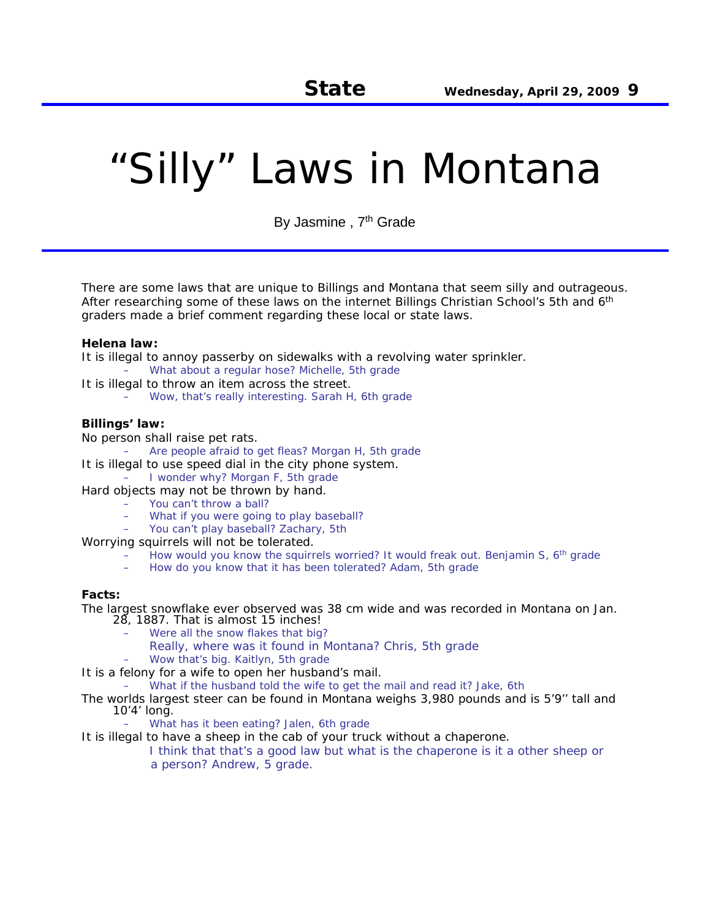# "Silly" Laws in Montana

By Jasmine, 7<sup>th</sup> Grade

There are some laws that are unique to Billings and Montana that seem silly and outrageous. After researching some of these laws on the internet Billings Christian School's 5th and 6<sup>th</sup> graders made a brief comment regarding these local or state laws.

#### **Helena law:**

It is illegal to annoy passerby on sidewalks with a revolving water sprinkler.

- What about a regular hose? Michelle, 5th grade
- It is illegal to throw an item across the street. – Wow, that's really interesting. Sarah H, 6th grade

#### **Billings' law:**

No person shall raise pet rats.

- Are people afraid to get fleas? Morgan H, 5th grade
- It is illegal to use speed dial in the city phone system.
	- I wonder why? Morgan F, 5th grade
- Hard objects may not be thrown by hand.
	- You can't throw a ball?
	- What if you were going to play baseball?
	- You can't play baseball? Zachary, 5th
- Worrying squirrels will not be tolerated.
	- How would you know the squirrels worried? It would freak out. Benjamin S, 6<sup>th</sup> grade
	- How do you know that it has been tolerated? Adam, 5th grade

#### **Facts:**

The largest snowflake ever observed was 38 cm wide and was recorded in Montana on Jan. 28, 1887. That is almost 15 inches!

- Were all the snow flakes that big?
- Really, where was it found in Montana? Chris, 5th grade
- Wow that's big. Kaitlyn, 5th grade

It is a felony for a wife to open her husband's mail.

– What if the husband told the wife to get the mail and read it? Jake, 6th

The worlds largest steer can be found in Montana weighs 3,980 pounds and is 5'9'' tall and 10'4' long.

What has it been eating? Jalen, 6th grade

It is illegal to have a sheep in the cab of your truck without a chaperone.

I think that that's a good law but what is the chaperone is it a other sheep or a person? Andrew, 5 grade.